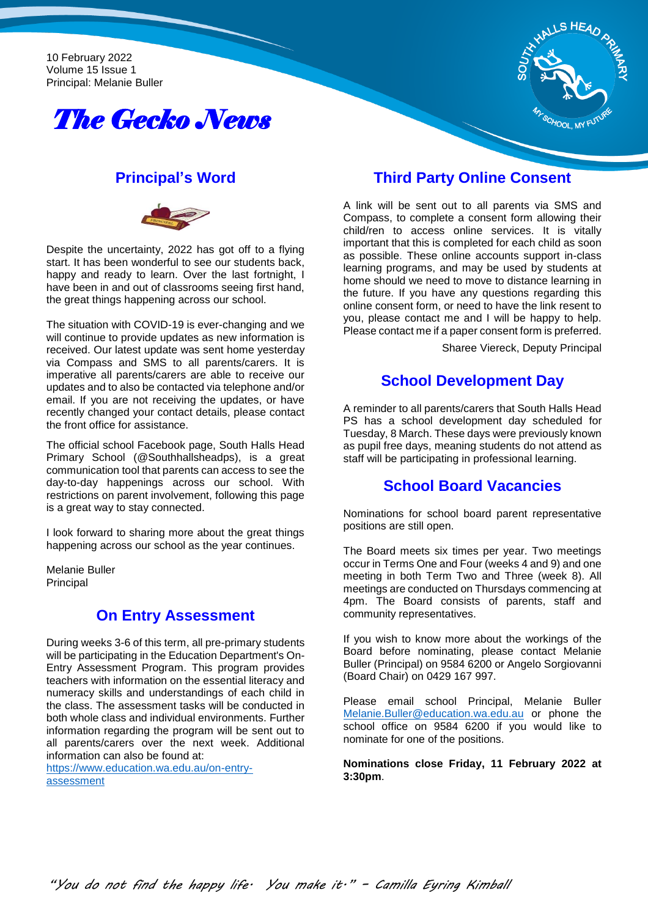10 February 2022 Volume 15 Issue 1 Principal: Melanie Buller





### **Principal's Word**



Despite the uncertainty, 2022 has got off to a flying start. It has been wonderful to see our students back, happy and ready to learn. Over the last fortnight, I have been in and out of classrooms seeing first hand, the great things happening across our school.

The situation with COVID-19 is ever-changing and we will continue to provide updates as new information is received. Our latest update was sent home yesterday via Compass and SMS to all parents/carers. It is imperative all parents/carers are able to receive our updates and to also be contacted via telephone and/or email. If you are not receiving the updates, or have recently changed your contact details, please contact the front office for assistance.

The official school Facebook page, South Halls Head Primary School (@Southhallsheadps), is a great communication tool that parents can access to see the day-to-day happenings across our school. With restrictions on parent involvement, following this page is a great way to stay connected.

I look forward to sharing more about the great things happening across our school as the year continues.

Melanie Buller Principal

## **On Entry Assessment**

During weeks 3-6 of this term, all pre-primary students will be participating in the Education Department's On-Entry Assessment Program. This program provides teachers with information on the essential literacy and numeracy skills and understandings of each child in the class. The assessment tasks will be conducted in both whole class and individual environments. Further information regarding the program will be sent out to all parents/carers over the next week. Additional information can also be found at:

[https://www.education.wa.edu.au/on-entry](https://www.education.wa.edu.au/on-entry-assessment)[assessment](https://www.education.wa.edu.au/on-entry-assessment)

### **Third Party Online Consent**

A link will be sent out to all parents via SMS and Compass, to complete a consent form allowing their child/ren to access online services. It is vitally important that this is completed for each child as soon as possible. These online accounts support in-class learning programs, and may be used by students at home should we need to move to distance learning in the future. If you have any questions regarding this online consent form, or need to have the link resent to you, please contact me and I will be happy to help. Please contact me if a paper consent form is preferred.

Sharee Viereck, Deputy Principal

## **School Development Day**

A reminder to all parents/carers that South Halls Head PS has a school development day scheduled for Tuesday, 8 March. These days were previously known as pupil free days, meaning students do not attend as staff will be participating in professional learning.

## **School Board Vacancies**

Nominations for school board parent representative positions are still open.

The Board meets six times per year. Two meetings occur in Terms One and Four (weeks 4 and 9) and one meeting in both Term Two and Three (week 8). All meetings are conducted on Thursdays commencing at 4pm. The Board consists of parents, staff and community representatives.

If you wish to know more about the workings of the Board before nominating, please contact Melanie Buller (Principal) on 9584 6200 or Angelo Sorgiovanni (Board Chair) on 0429 167 997.

Please email school Principal, Melanie Buller [Melanie.Buller@education.wa.edu.au](mailto:Melanie.Buller@education.wa.edu.au) or phone the school office on 9584 6200 if you would like to nominate for one of the positions.

**Nominations close Friday, 11 February 2022 at 3:30pm**.